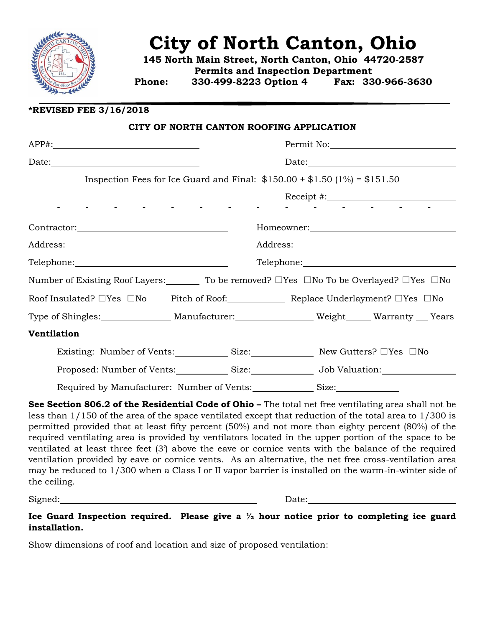

## **City of North Canton, Ohio**

**145 North Main Street, North Canton, Ohio 44720-2587 Permits and Inspection Department Phone: 330-499-8223 Option 4 Fax: 330-966-3630**

**\*REVISED FEE 3/16/2018**

|                                                                                                                           |                                                                                                                 | CITY OF NORTH CANTON ROOFING APPLICATION                                   |            |
|---------------------------------------------------------------------------------------------------------------------------|-----------------------------------------------------------------------------------------------------------------|----------------------------------------------------------------------------|------------|
| APP#:                                                                                                                     |                                                                                                                 |                                                                            | Permit No: |
|                                                                                                                           |                                                                                                                 |                                                                            |            |
|                                                                                                                           |                                                                                                                 | Inspection Fees for Ice Guard and Final: $$150.00 + $1.50 (1\%) = $151.50$ |            |
|                                                                                                                           | and the state of the state of the state of the state of the state of the state of the state of the state of the | and the company of the company of                                          |            |
|                                                                                                                           |                                                                                                                 |                                                                            |            |
|                                                                                                                           |                                                                                                                 |                                                                            |            |
|                                                                                                                           |                                                                                                                 |                                                                            |            |
| Number of Existing Roof Layers: $\qquad \qquad$ To be removed? $\Box$ Yes $\Box$ No To be Overlayed? $\Box$ Yes $\Box$ No |                                                                                                                 |                                                                            |            |
| Roof Insulated? $\Box$ Yes $\Box$ No Pitch of Roof: Replace Underlayment? $\Box$ Yes $\Box$ No                            |                                                                                                                 |                                                                            |            |
| Type of Shingles:__________________Manufacturer:______________________Weight______ Warranty ___ Years                     |                                                                                                                 |                                                                            |            |
| Ventilation                                                                                                               |                                                                                                                 |                                                                            |            |
| Existing: Number of Vents: Size: Size: New Gutters? □ Yes □ No                                                            |                                                                                                                 |                                                                            |            |
| Proposed: Number of Vents: Size: Size: Job Valuation:                                                                     |                                                                                                                 |                                                                            |            |
| Required by Manufacturer: Number of Vents:                                                                                |                                                                                                                 | Size:                                                                      |            |

**See Section 806.2 of the Residential Code of Ohio – The total net free ventilating area shall not be** less than 1/150 of the area of the space ventilated except that reduction of the total area to 1/300 is permitted provided that at least fifty percent (50%) and not more than eighty percent (80%) of the required ventilating area is provided by ventilators located in the upper portion of the space to be ventilated at least three feet (3') above the eave or cornice vents with the balance of the required ventilation provided by eave or cornice vents. As an alternative, the net free cross-ventilation area may be reduced to 1/300 when a Class I or II vapor barrier is installed on the warm-in-winter side of the ceiling.

Signed:  $Date:$ 

**Ice Guard Inspection required. Please give a ½ hour notice prior to completing ice guard installation.**

Show dimensions of roof and location and size of proposed ventilation: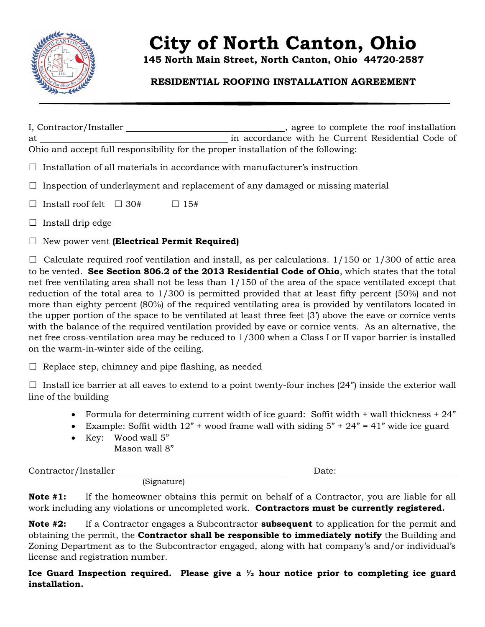

# **City of North Canton, Ohio**

**145 North Main Street, North Canton, Ohio 44720-2587**

## **RESIDENTIAL ROOFING INSTALLATION AGREEMENT**

I, Contractor/Installer  $\qquad \qquad$  \_\_\_\_\_\_\_\_\_\_\_\_\_\_\_\_\_\_\_\_\_\_\_, agree to complete the roof installation at in accordance with he Current Residential Code of Ohio and accept full responsibility for the proper installation of the following:

 $\Box$  Installation of all materials in accordance with manufacturer's instruction

 $\Box$  Inspection of underlayment and replacement of any damaged or missing material

 $\Box$  Install roof felt  $\Box$  30#  $\Box$  15#

- $\Box$  Install drip edge
- ☐ New power vent **(Electrical Permit Required)**

 $\Box$  Calculate required roof ventilation and install, as per calculations. 1/150 or 1/300 of attic area to be vented. **See Section 806.2 of the 2013 Residential Code of Ohio**, which states that the total net free ventilating area shall not be less than 1/150 of the area of the space ventilated except that reduction of the total area to 1/300 is permitted provided that at least fifty percent (50%) and not more than eighty percent (80%) of the required ventilating area is provided by ventilators located in the upper portion of the space to be ventilated at least three feet (3') above the eave or cornice vents with the balance of the required ventilation provided by eave or cornice vents. As an alternative, the net free cross-ventilation area may be reduced to 1/300 when a Class I or II vapor barrier is installed on the warm-in-winter side of the ceiling.

 $\Box$  Replace step, chimney and pipe flashing, as needed

 $\Box$  Install ice barrier at all eaves to extend to a point twenty-four inches (24") inside the exterior wall line of the building

- Formula for determining current width of ice guard: Soffit width  $+$  wall thickness  $+ 24$ "
- Example: Soffit width  $12$ " + wood frame wall with siding  $5$ " +  $24$ " = 41" wide ice guard
- Key: Wood wall 5" Mason wall 8"

 $\text{Contractor}/\text{Installer}$  Date:

(Signature)

**Note #1:** If the homeowner obtains this permit on behalf of a Contractor, you are liable for all work including any violations or uncompleted work. **Contractors must be currently registered.**

**Note #2:** If a Contractor engages a Subcontractor **subsequent** to application for the permit and obtaining the permit, the **Contractor shall be responsible to immediately notify** the Building and Zoning Department as to the Subcontractor engaged, along with hat company's and/or individual's license and registration number.

**Ice Guard Inspection required. Please give a ½ hour notice prior to completing ice guard installation.**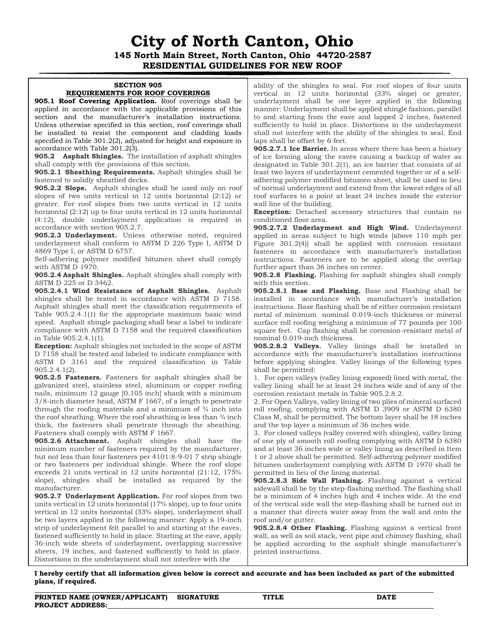## **City of North Canton, Ohio 145 North Main Street, North Canton, Ohio 44720-2587 RESIDENTIAL GUIDELINES FOR NEW ROOF**

#### **SECTION 905 REQUIREMENTS FOR ROOF COVERINGS**

**905.1 Roof Covering Application.** Roof coverings shall be applied in accordance with the applicable provisions of this section and the manufacturer's installation instructions. Unless otherwise specified in this section, roof coverings shall be installed to resist the component and cladding loads specified in Table 301.2(2), adjusted for height and exposure in accordance with Table 301.2(3).

**905.2 Asphalt Shingles.** The installation of asphalt shingles shall comply with the provisions of this section.

**905.2.1 Sheathing Requirements.** Asphalt shingles shall be fastened to solidly sheathed decks.

**905.2.2 Slope.** Asphalt shingles shall be used only on roof slopes of two units vertical in 12 units horizontal (2:12) or greater. For roof slopes from two units vertical in 12 units horizontal (2:12) up to four units vertical in 12 units horizontal (4:12), double underlayment application is required in accordance with section 905.2.7.

**905.2.3 Underlayment.** Unless otherwise noted, required underlayment shall conform to ASTM D 226 Type I, ASTM D 4869 Type I, or ASTM D 6757.

Self-adhering polymer modified bitumen sheet shall comply with ASTM D 1970.

**905.2.4 Asphalt Shingles.** Asphalt shingles shall comply with ASTM D 225 or D 3462.

**905.2.4.1 Wind Resistance of Asphalt Shingles.** Asphalt shingles shall be tested in accordance with ASTM D 7158. Asphalt shingles shall meet the classification requirements of Table 905.2.4.1(1) for the appropriate maximum basic wind speed. Asphalt shingle packaging shall bear a label to indicate compliance with ASTM D 7158 and the required classification in Table 905.2.4.1(1).

**Exception:** Asphalt shingles not included in the scope of ASTM D 7158 shall be tested and labeled to indicate compliance with ASTM D 3161 and the required classification in Table 905.2.4.1(2).

**905.2.5 Fasteners.** Fasteners for asphalt shingles shall be galvanized steel, stainless steel, aluminum or copper roofing nails, minimum 12 gauge [0.105 inch] shank with a minimum 3/8-inch diameter head, ASTM F 1667, of a length to penetrate through the roofing materials and a minimum of  $\frac{3}{4}$  inch into the roof sheathing. Where the roof sheathing is less than  $\frac{3}{4}$  inch thick, the fasteners shall penetrate through the sheathing. Fasteners shall comply with ASTM F 1667.

**905.2.6 Attachment.** Asphalt shingles shall have the minimum number of fasteners required by the manufacturer, but not less than four fasteners per 4101:8-9-01 7 strip shingle or two fasteners per individual shingle. Where the roof slope exceeds 21 units vertical in 12 units horizontal (21:12, 175% slope), shingles shall be installed as required by the manufacturer.

**905.2.7 Underlayment Application.** For roof slopes from two units vertical in 12 units horizontal (17% slope), up to four units vertical in 12 units horizontal (33% slope), underlayment shall be two layers applied in the following manner: Apply a 19-inch strip of underlayment felt parallel to and starting at the eaves, fastened sufficiently to hold in place. Starting at the eave, apply 36-inch wide sheets of underlayment, overlapping successive sheets, 19 inches, and fastened sufficiently to hold in place. Distortions in the underlayment shall not interfere with the

ability of the shingles to seal. For roof slopes of four units vertical in 12 units horizontal (33% slope) or greater, underlayment shall be one layer applied in the following manner: Underlayment shall be applied shingle fashion, parallel to and starting from the eave and lapped 2 inches, fastened sufficiently to hold in place. Distortions in the underlayment shall not interfere with the ability of the shingles to seal. End laps shall be offset by 6 feet.

**905.2.7.1 Ice Barrier.** In areas where there has been a history of ice forming along the eaves causing a backup of water as designated in Table 301.2(1), an ice barrier that consists of at least two layers of underlayment cemented together or of a selfadhering polymer modified bitumen sheet, shall be used in lieu of normal underlayment and extend from the lowest edges of all roof surfaces to a point at least 24 inches inside the exterior wall line of the building.

**Exception:** Detached accessory structures that contain no conditioned floor area.

**905.2.7.2 Underlayment and High Wind.** Underlayment applied in areas subject to high winds [above 110 mph per Figure 301.2(4)] shall be applied with corrosion resistant fasteners in accordance with manufacturer's installation instructions. Fasteners are to be applied along the overlap further apart than 36 inches on center.

**905.2.8 Flashing.** Flashing for asphalt shingles shall comply with this section.

**905.2.8.1 Base and Flashing.** Base and Flashing shall be installed in accordance with manufacturer's installation instructions. Base flashing shall be of either corrosion resistant metal of minimum nominal 0.019-inch thickness or mineral surface roll roofing weighing a minimum of 77 pounds per 100 square feet. Cap flashing shall be corrosion-resistant metal of nominal 0.019-inch thickness.

**905.2.8.2 Valleys.** Valley linings shall be installed in accordance with the manufacturer's installation instructions before applying shingles. Valley linings of the following types shall be permitted:

1. For open valleys (valley lining exposed) lined with metal, the valley lining shall be at least 24 inches wide and of any of the corrosion resistant metals in Table 905.2.8.2.

2. For Open Valleys, valley lining of two plies of mineral surfaced roll roofing, complying with ASTM D 3909 or ASTM D 6380 Class M, shall be permitted. The bottom layer shall be 18 inches and the top layer a minimum of 36 inches wide.

3. For closed valleys (valley covered with shingles), valley lining of one ply of smooth roll roofing complying with ASTM D 6380 and at least 36 inches wide or valley lining as described in Item 1 or 2 above shall be permitted. Self-adhering polymer modified bitumen underlayment complying with ASTM D 1970 shall be permitted in lieu of the lining material.

**905.2.8.3 Side Wall Flashing.** Flashing against a vertical sidewall shall be by the step-flashing method. The flashing shall be a minimum of 4 inches high and 4 inches wide. At the end of the vertical side wall the step-flashing shall be turned out in a manner that directs water away from the wall and onto the roof and/or gutter.

**905.2.8.4 Other Flashing.** Flashing against a vertical front wall, as well as soil stack, vent pipe and chimney flashing, shall be applied according to the asphalt shingle manufacturer's printed instructions.

**I hereby certify that all information given below is correct and accurate and has been included as part of the submitted plans, if required.**